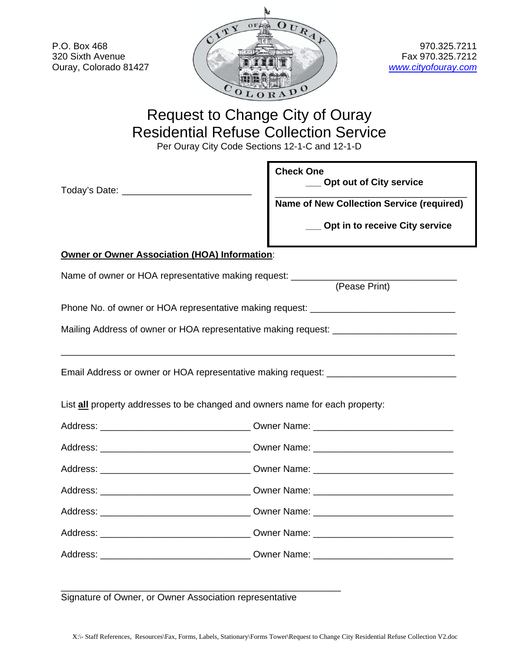P.O. Box 468 320 Sixth Avenue Ouray, Colorado 81427



970.325.7211 Fax 970.325.7212 *www.cityofouray.com*

## Request to Change City of Ouray Residential Refuse Collection Service

Per Ouray City Code Sections 12-1-C and 12-1-D

|                                                                                    | <b>Check One</b><br>Opt out of City service<br><b>Name of New Collection Service (required)</b><br>Opt in to receive City service |  |
|------------------------------------------------------------------------------------|-----------------------------------------------------------------------------------------------------------------------------------|--|
| <b>Owner or Owner Association (HOA) Information:</b>                               |                                                                                                                                   |  |
| Name of owner or HOA representative making request: _____________<br>(Pease Print) |                                                                                                                                   |  |
| Phone No. of owner or HOA representative making request: _______________________   |                                                                                                                                   |  |
| Mailing Address of owner or HOA representative making request: __________________  |                                                                                                                                   |  |
| Email Address or owner or HOA representative making request: ___________________   |                                                                                                                                   |  |
| List all property addresses to be changed and owners name for each property:       |                                                                                                                                   |  |
| Address: __________________________________Owner Name: _________________________   |                                                                                                                                   |  |
|                                                                                    |                                                                                                                                   |  |
|                                                                                    |                                                                                                                                   |  |
|                                                                                    |                                                                                                                                   |  |
|                                                                                    |                                                                                                                                   |  |
|                                                                                    |                                                                                                                                   |  |
|                                                                                    |                                                                                                                                   |  |

Signature of Owner, or Owner Association representative

\_\_\_\_\_\_\_\_\_\_\_\_\_\_\_\_\_\_\_\_\_\_\_\_\_\_\_\_\_\_\_\_\_\_\_\_\_\_\_\_\_\_\_\_\_\_\_\_\_\_\_\_\_\_